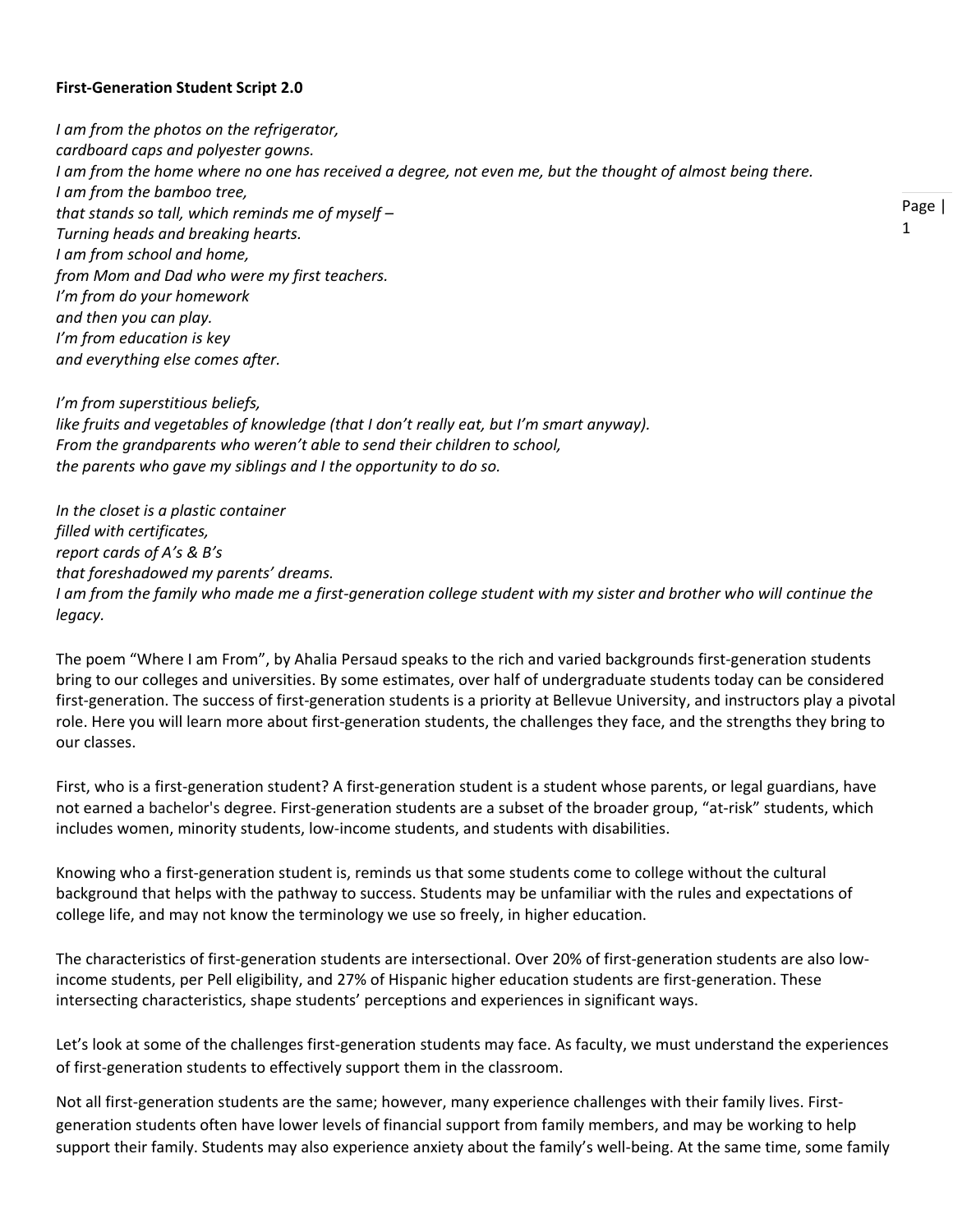## **First-Generation Student Script 2.0**

*I am from the photos on the refrigerator, cardboard caps and polyester gowns.* I am from the home where no one has received a degree, not even me, but the thought of almost being there. *I am from the bamboo tree, that stands so tall, which reminds me of myself – Turning heads and breaking hearts. I am from school and home, from Mom and Dad who were my first teachers. I'm from do your homework and then you can play. I'm from education is key and everything else comes after.*

*I'm from superstitious beliefs, like fruits and vegetables of knowledge (that I don't really eat, but I'm smart anyway). From the grandparents who weren't able to send their children to school, the parents who gave my siblings and I the opportunity to do so.*

*In the closet is a plastic container filled with certificates, report cards of A's & B's that foreshadowed my parents' dreams. I am from the family who made me a first-generation college student with my sister and brother who will continue the legacy.*

The poem "Where I am From", by Ahalia Persaud speaks to the rich and varied backgrounds first-generation students bring to our colleges and universities. By some estimates, over half of undergraduate students today can be considered first-generation. The success of first-generation students is a priority at Bellevue University, and instructors play a pivotal role. Here you will learn more about first-generation students, the challenges they face, and the strengths they bring to our classes.

First, who is a first-generation student? A first-generation student is a student whose parents, or legal guardians, have not earned a bachelor's degree. First-generation students are a subset of the broader group, "at-risk" students, which includes women, minority students, low-income students, and students with disabilities.

Knowing who a first-generation student is, reminds us that some students come to college without the cultural background that helps with the pathway to success. Students may be unfamiliar with the rules and expectations of college life, and may not know the terminology we use so freely, in higher education.

The characteristics of first-generation students are intersectional. Over 20% of first-generation students are also lowincome students, per Pell eligibility, and 27% of Hispanic higher education students are first-generation. These intersecting characteristics, shape students' perceptions and experiences in significant ways.

Let's look at some of the challenges first-generation students may face. As faculty, we must understand the experiences of first-generation students to effectively support them in the classroom.

Not all first-generation students are the same; however, many experience challenges with their family lives. Firstgeneration students often have lower levels of financial support from family members, and may be working to help support their family. Students may also experience anxiety about the family's well-being. At the same time, some family

Page | 1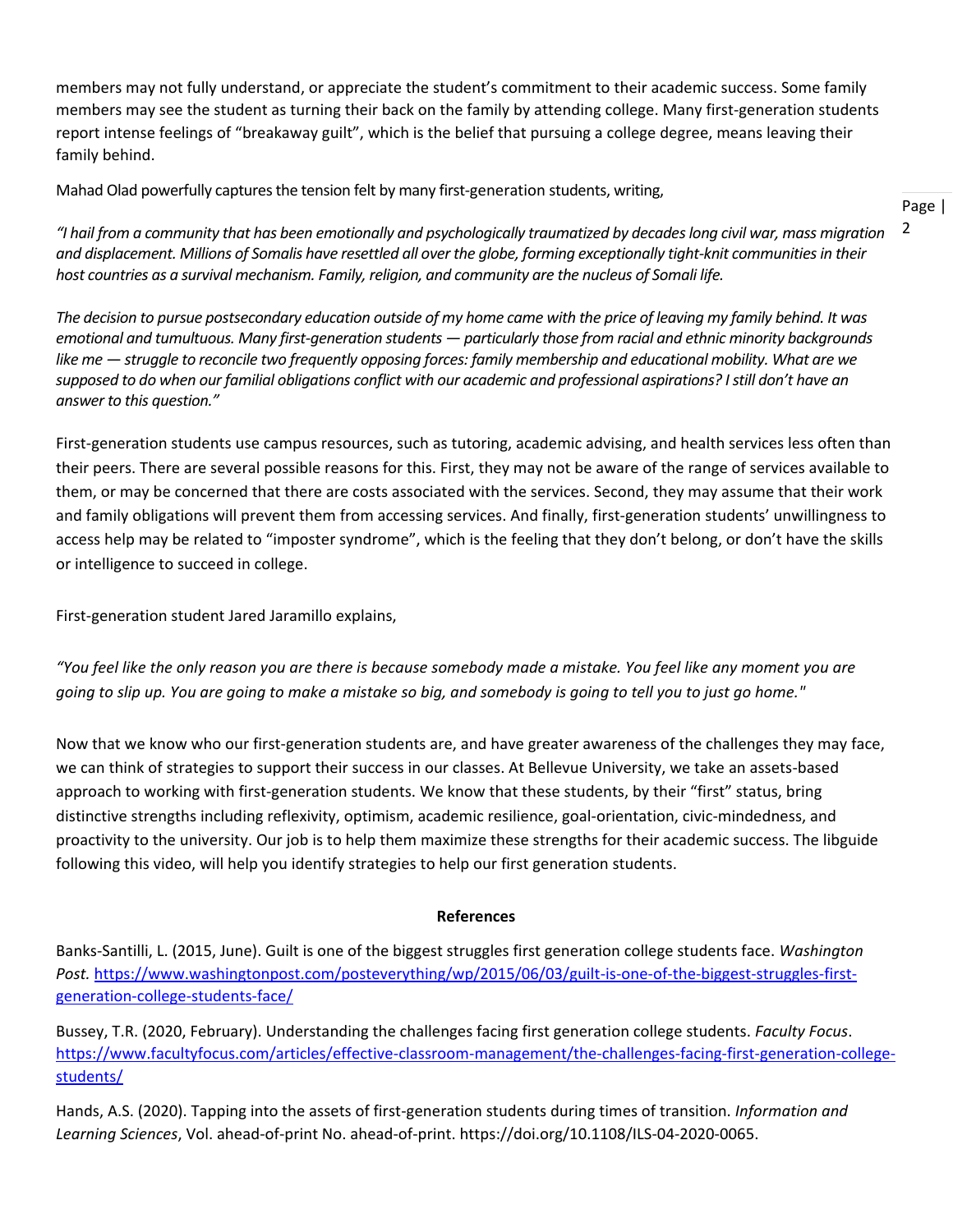members may not fully understand, or appreciate the student's commitment to their academic success. Some family members may see the student as turning their back on the family by attending college. Many first-generation students report intense feelings of "breakaway guilt", which is the belief that pursuing a college degree, means leaving their family behind.

Mahad Olad powerfully captures the tension felt by many first-generation students, writing,

2 *"I hail from a community that has been emotionally and psychologically traumatized by decadeslong civil war, mass migration and displacement. Millions of Somalis have resettled all over the globe, forming exceptionally tight-knit communities in their host countries as a survival mechanism. Family, religion, and community are the nucleus of Somali life.*

Page |

*The decision to pursue postsecondary education outside of my home came with the price of leaving my family behind. It was emotional and tumultuous. Many first-generation students — particularly those from racial and ethnic minority backgrounds like me — struggle to reconcile two frequently opposing forces: family membership and educational mobility. What are we supposed to do when our familial obligations conflict with our academic and professional aspirations? I still don't have an answer to this question."*

First-generation students use campus resources, such as tutoring, academic advising, and health services less often than their peers. There are several possible reasons for this. First, they may not be aware of the range of services available to them, or may be concerned that there are costs associated with the services. Second, they may assume that their work and family obligations will prevent them from accessing services. And finally, first-generation students' unwillingness to access help may be related to "imposter syndrome", which is the feeling that they don't belong, or don't have the skills or intelligence to succeed in college.

First-generation student Jared Jaramillo explains,

*"You feel like the only reason you are there is because somebody made a mistake. You feel like any moment you are going to slip up. You are going to make a mistake so big, and somebody is going to tell you to just go home."*

Now that we know who our first-generation students are, and have greater awareness of the challenges they may face, we can think of strategies to support their success in our classes. At Bellevue University, we take an assets-based approach to working with first-generation students. We know that these students, by their "first" status, bring distinctive strengths including reflexivity, optimism, academic resilience, goal-orientation, civic-mindedness, and proactivity to the university. Our job is to help them maximize these strengths for their academic success. The libguide following this video, will help you identify strategies to help our first generation students.

## **References**

Banks-Santilli, L. (2015, June). Guilt is one of the biggest struggles first generation college students face. *Washington Post.* [https://www.washingtonpost.com/posteverything/wp/2015/06/03/guilt-is-one-of-the-biggest-struggles-first](https://www.washingtonpost.com/posteverything/wp/2015/06/03/guilt-is-one-of-the-biggest-struggles-first-generation-college-students-face/)[generation-college-students-face/](https://www.washingtonpost.com/posteverything/wp/2015/06/03/guilt-is-one-of-the-biggest-struggles-first-generation-college-students-face/)

Bussey, T.R. (2020, February). Understanding the challenges facing first generation college students. *Faculty Focus*. [https://www.facultyfocus.com/articles/effective-classroom-management/the-challenges-facing-first-generation-college](https://www.facultyfocus.com/articles/effective-classroom-management/the-challenges-facing-first-generation-college-students/)[students/](https://www.facultyfocus.com/articles/effective-classroom-management/the-challenges-facing-first-generation-college-students/)

Hands, A.S. (2020). Tapping into the assets of first-generation students during times of transition. *Information and Learning Sciences*, Vol. ahead-of-print No. ahead-of-print. https://doi.org/10.1108/ILS-04-2020-0065.